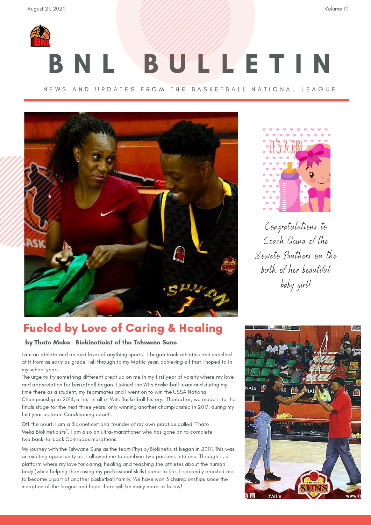

# B U L L E T I N

### N E W S A N D U P D A T E S F R O M T H E B A S K E T B A L L N A T I O N A L L E A G U E





Congratulations to Coach Gcina of the Soweto Panthers on the birth of her beautiful baby girl!

## Fueled by Love of Caring & Healing

### by Thato Meka - Biokineticist of the Tshwane Suns

I am an athlete and an avid lover of anything sports. I began track athletics and excelled at it from as early as grade 1 all through to my Matric year, achieving all that I hoped to in my school years.

The urge to try something different crept up on me in my first year of varsity where my love and appreciation for basketball began. I joined the Wits Basketball team and during my time there as a student, my teammates and I went on to win the USSA National Championship in 2014, a first in all of Wits Basketball history. Thereafter, we made it to the finals stage for the next three years, only winning another championship in 2017, during my first year as team Conditioning coach.

Off the court, I am a Biokineticist and founder of my own practice called "Thato Meka Biokineticists". I am also an ultra-marathoner who has gone on to complete two back-to-back Comrades marathons.

My journey with the Tshwane Suns as the team Physio/Biokineticist began in 2017. This was an exciting opportunity as it allowed me to combine two passions into one. Through it, a platform where my love for caring, healing and teaching the athletes about the human body (while helping them using my professional skills) came to life. It secondly enabled me to become a part of another basketball family. We have won 3 championships since the inception of the league and hope there will be many more to follow!